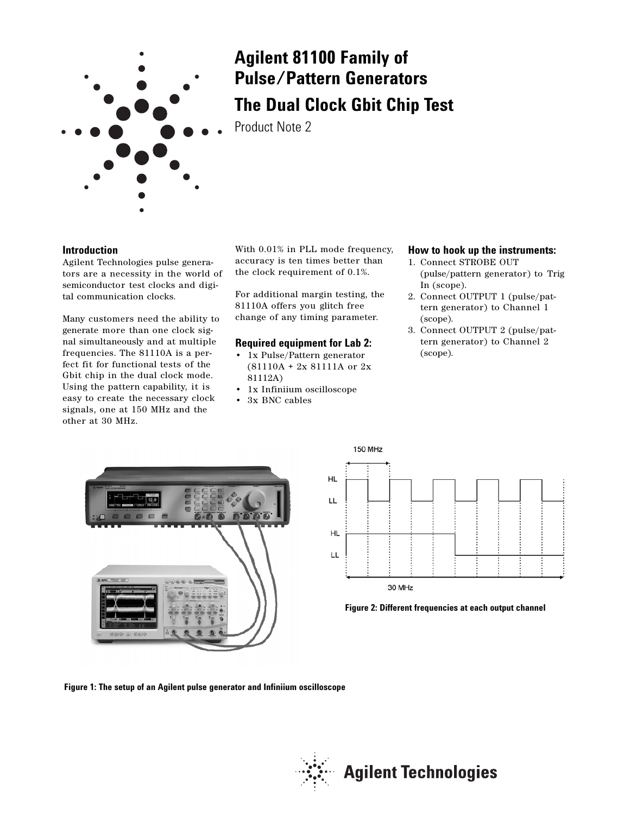

# **Agilent 81100 Family of Pulse/Pattern Generators The Dual Clock Gbit Chip Test**

Product Note 2

# **Introduction**

Agilent Technologies pulse generators are a necessity in the world of semiconductor test clocks and digital communication clocks.

Many customers need the ability to generate more than one clock signal simultaneously and at multiple frequencies. The 81110A is a perfect fit for functional tests of the Gbit chip in the dual clock mode. Using the pattern capability, it is easy to create the necessary clock signals, one at 150 MHz and the other at 30 MHz.

With 0.01% in PLL mode frequency, accuracy is ten times better than the clock requirement of 0.1%.

For additional margin testing, the 81110A offers you glitch free change of any timing parameter.

# **Required equipment for Lab 2:**

- 1x Pulse/Pattern generator (81110A + 2x 81111A or 2x 81112A)
- 1x Infiniium oscilloscope
- 3x BNC cables

# **How to hook up the instruments:**

- 1. Connect STROBE OUT (pulse/pattern generator) to Trig In (scope).
- 2. Connect OUTPUT 1 (pulse/pattern generator) to Channel 1 (scope).
- 3. Connect OUTPUT 2 (pulse/pattern generator) to Channel 2 (scope).







**Figure 1: The setup of an Agilent pulse generator and Infiniium oscilloscope**

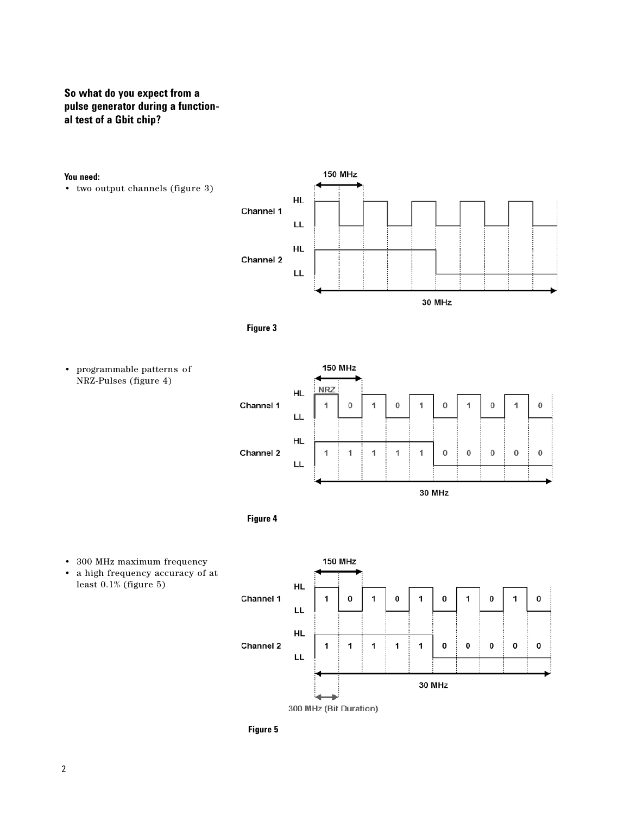# **So what do you expect from a pulse generator during a functional test of a Gbit chip?**

### **You need:**

• two output channels (figure 3)









- 300 MHz maximum frequency
- a high frequency accuracy of at least 0.1% (figure 5)



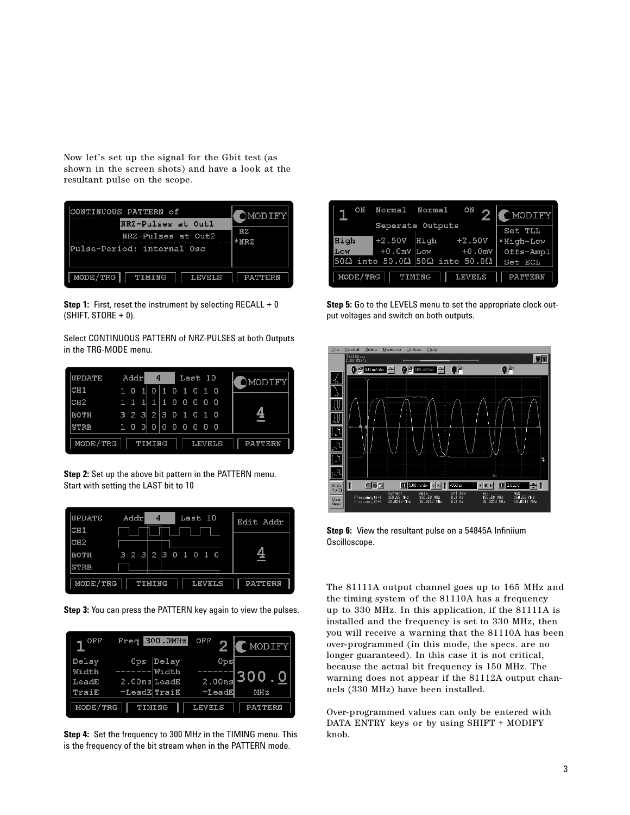Now let's set up the signal for the Gbit test (as shown in the screen shots) and have a look at the resultant pulse on the scope.

| CONTINUOUS PATTERN of<br>NRZ-Pulses at Out1<br>NRZ-Pulses at Out2<br>Pulse-Period: internal Osc | <b>DMODIFY</b><br>RZ.<br>$*NRZ$ |
|-------------------------------------------------------------------------------------------------|---------------------------------|
| MODE/TRG  <br>TIMING<br>LEVELS                                                                  | PATTERN                         |

**Step 1:** First, reset the instrument by selecting RECALL + 0  $(SHIFT, STORE + 0).$ 

Select CONTINUOUS PATTERN of NRZ-PULSES at both Outputs in the TRG-MODE menu.

| <b>UPDATE</b>   |              | Addrl   |              | 4                   |      |    |          | Last 10 |                |               | OMODIFY        |
|-----------------|--------------|---------|--------------|---------------------|------|----|----------|---------|----------------|---------------|----------------|
| CH <sub>1</sub> | $\mathbf{1}$ | - 0     | $\mathbf{1}$ | $\circ$             |      | 10 | 10       |         | 1 <sub>0</sub> |               |                |
| CH2             |              |         |              | 1 1 1 1 1 1 0 0 0 0 |      |    |          |         |                | - 0           |                |
| <b>BOTH</b>     |              |         |              | 32323010            |      |    |          |         | 10             |               |                |
| <b>STRB</b>     | 1            | $\circ$ |              | 0 <sub>0</sub>      | 40 L | 0  | $\Omega$ | - 0     | - 0            | - 0           |                |
| MODE/TRG        |              |         |              | TIMING              |      |    |          |         |                | <b>LEVELS</b> | <b>PATTERN</b> |

**Step 2:** Set up the above bit pattern in the PATTERN menu. Start with setting the LAST bit to 10

| UPDATE          | Addr | 4      | Last 10       | Edit Addr      |
|-----------------|------|--------|---------------|----------------|
| CH <sub>1</sub> |      |        |               |                |
| CH2             |      |        |               |                |
| <b>BOTH</b>     |      |        | 3232301010    | 4              |
| <b>STRB</b>     |      |        |               |                |
| MODE/TRG        |      | TIMING | <b>LEVELS</b> | <b>PATTERN</b> |

**Step 3:** You can press the PATTERN key again to view the pulses.

| OFF      | 300.0MHz<br>Freq    | OFF           | CMODIFY        |
|----------|---------------------|---------------|----------------|
| Delay    | Delav<br>Ops        | Ops           |                |
| Width    | Width               |               | Г. О<br>300    |
| LeadE    | $2.00ns$ LeadE      | 2.00ns        |                |
| TraiE    | $=$ LeadE $ $ TraiE | $=$ LeadE     | MHZ            |
| MODE/TRG | TIMING              | <b>LEVELS</b> | <b>PATTERN</b> |

**Step 4:** Set the frequency to 300 MHz in the TIMING menu. This is the frequency of the bit stream when in the PATTERN mode.

| ON       | Normal                                                       | Normal           | ON            | [MODIFY]       |
|----------|--------------------------------------------------------------|------------------|---------------|----------------|
|          |                                                              | Seperate Outputs |               | Set TLL        |
| High     | $+2.50V$                                                     | Hiah             | $+2.50V$      | *High-Low      |
| Low      | $+0.0mV$                                                     | Low              | $+0.0mV$      | Offs-Ampl      |
|          | $50\Omega$ into 50.0 $\Omega$ 50 $\Omega$ into 50.0 $\Omega$ |                  |               | Set ECL        |
| MODE/TRG | TIMING                                                       |                  | <b>LEVELS</b> | <b>PATTERN</b> |

**Step 5:** Go to the LEVELS menu to set the appropriate clock output voltages and switch on both outputs.



**Step 6:** View the resultant pulse on a 54845A Infiniium Oscilloscope.

The 81111A output channel goes up to 165 MHz and the timing system of the 81110A has a frequency up to 330 MHz. In this application, if the 81111A is installed and the frequency is set to 330 MHz, then you will receive a warning that the 81110A has been over-programmed (in this mode, the specs. are no longer guaranteed). In this case it is not critical, because the actual bit frequency is 150 MHz. The warning does not appear if the 81112A output channels (330 MHz) have been installed.

Over-programmed values can only be entered with DATA ENTRY keys or by using SHIFT + MODIFY knob.